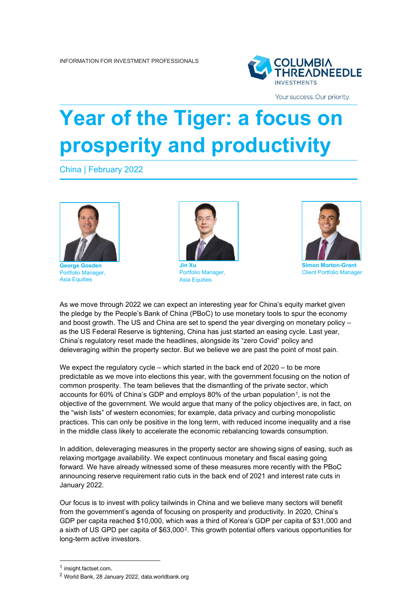

Your success. Our priority.

## **Year of the Tiger: a focus on prosperity and productivity**

China | February 2022



**George Gosden** Portfolio Manager, Asia Equities



Portfolio Manager, Asia Equities



**Simon Morton-Grant** Client Portfolio Manager

As we move through 2022 we can expect an interesting year for China's equity market given the pledge by the People's Bank of China (PBoC) to use monetary tools to spur the economy and boost growth. The US and China are set to spend the year diverging on monetary policy – as the US Federal Reserve is tightening, China has just started an easing cycle. Last year, China's regulatory reset made the headlines, alongside its "zero Covid" policy and deleveraging within the property sector. But we believe we are past the point of most pain.

We expect the regulatory cycle – which started in the back end of  $2020 -$  to be more predictable as we move into elections this year, with the government focusing on the notion of common prosperity. The team believes that the dismantling of the private sector, which accounts for 60% of China's GDP and employs 80% of the urban population<sup>1</sup>, is not the objective of the government. We would argue that many of the policy objectives are, in fact, on the "wish lists" of western economies; for example, data privacy and curbing monopolistic practices. This can only be positive in the long term, with reduced income inequality and a rise in the middle class likely to accelerate the economic rebalancing towards consumption.

In addition, deleveraging measures in the property sector are showing signs of easing, such as relaxing mortgage availability. We expect continuous monetary and fiscal easing going forward. We have already witnessed some of these measures more recently with the PBoC announcing reserve requirement ratio cuts in the back end of 2021 and interest rate cuts in January 2022.

Our focus is to invest with policy tailwinds in China and we believe many sectors will benefit from the government's agenda of focusing on prosperity and productivity. In 2020, China's GDP per capita reached \$10,000, which was a third of Korea's GDP per capita of \$31,000 and a sixth of US GPD per capita of \$63,000[2](#page-0-1). This growth potential offers various opportunities for long-term active investors.

<span id="page-0-0"></span><sup>1</sup> insight.factset.com.

<span id="page-0-1"></span><sup>2</sup> World Bank, 28 January 2022, data.worldbank.org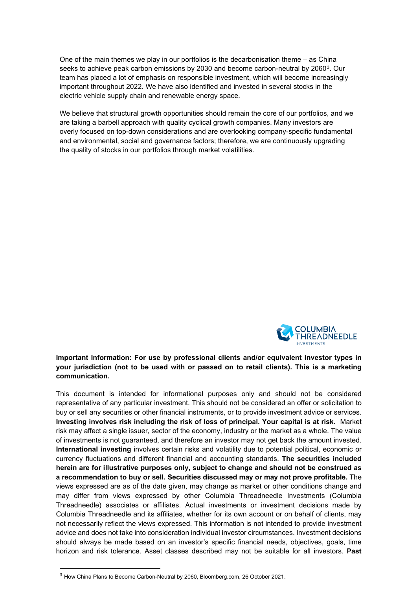One of the main themes we play in our portfolios is the decarbonisation theme – as China seeks to achieve peak carbon emissions by 2030 and become carbon-neutral by 2060<sup>3</sup>. Our team has placed a lot of emphasis on responsible investment, which will become increasingly important throughout 2022. We have also identified and invested in several stocks in the electric vehicle supply chain and renewable energy space.

We believe that structural growth opportunities should remain the core of our portfolios, and we are taking a barbell approach with quality cyclical growth companies. Many investors are overly focused on top-down considerations and are overlooking company-specific fundamental and environmental, social and governance factors; therefore, we are continuously upgrading the quality of stocks in our portfolios through market volatilities.



## **Important Information: For use by professional clients and/or equivalent investor types in your jurisdiction (not to be used with or passed on to retail clients). This is a marketing communication.**

This document is intended for informational purposes only and should not be considered representative of any particular investment. This should not be considered an offer or solicitation to buy or sell any securities or other financial instruments, or to provide investment advice or services. **Investing involves risk including the risk of loss of principal. Your capital is at risk.** Market risk may affect a single issuer, sector of the economy, industry or the market as a whole. The value of investments is not guaranteed, and therefore an investor may not get back the amount invested. **International investing** involves certain risks and volatility due to potential political, economic or currency fluctuations and different financial and accounting standards. **The securities included herein are for illustrative purposes only, subject to change and should not be construed as a recommendation to buy or sell. Securities discussed may or may not prove profitable.** The views expressed are as of the date given, may change as market or other conditions change and may differ from views expressed by other Columbia Threadneedle Investments (Columbia Threadneedle) associates or affiliates. Actual investments or investment decisions made by Columbia Threadneedle and its affiliates, whether for its own account or on behalf of clients, may not necessarily reflect the views expressed. This information is not intended to provide investment advice and does not take into consideration individual investor circumstances. Investment decisions should always be made based on an investor's specific financial needs, objectives, goals, time horizon and risk tolerance. Asset classes described may not be suitable for all investors. **Past** 

<span id="page-1-0"></span><sup>3</sup> How China Plans to Become Carbon-Neutral by 2060, Bloomberg.com, 26 October 2021.